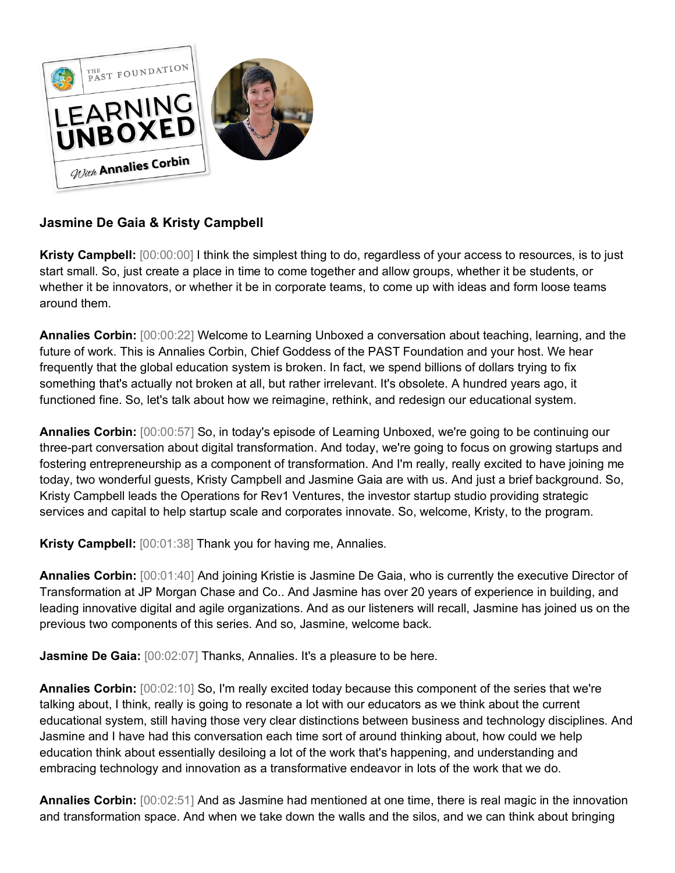

## **Jasmine De Gaia & Kristy Campbell**

**Kristy Campbell:** [00:00:00] I think the simplest thing to do, regardless of your access to resources, is to just start small. So, just create a place in time to come together and allow groups, whether it be students, or whether it be innovators, or whether it be in corporate teams, to come up with ideas and form loose teams around them.

**Annalies Corbin:** [00:00:22] Welcome to Learning Unboxed a conversation about teaching, learning, and the future of work. This is Annalies Corbin, Chief Goddess of the PAST Foundation and your host. We hear frequently that the global education system is broken. In fact, we spend billions of dollars trying to fix something that's actually not broken at all, but rather irrelevant. It's obsolete. A hundred years ago, it functioned fine. So, let's talk about how we reimagine, rethink, and redesign our educational system.

**Annalies Corbin:** [00:00:57] So, in today's episode of Learning Unboxed, we're going to be continuing our three-part conversation about digital transformation. And today, we're going to focus on growing startups and fostering entrepreneurship as a component of transformation. And I'm really, really excited to have joining me today, two wonderful guests, Kristy Campbell and Jasmine Gaia are with us. And just a brief background. So, Kristy Campbell leads the Operations for Rev1 Ventures, the investor startup studio providing strategic services and capital to help startup scale and corporates innovate. So, welcome, Kristy, to the program.

**Kristy Campbell:** [00:01:38] Thank you for having me, Annalies.

**Annalies Corbin:** [00:01:40] And joining Kristie is Jasmine De Gaia, who is currently the executive Director of Transformation at JP Morgan Chase and Co.. And Jasmine has over 20 years of experience in building, and leading innovative digital and agile organizations. And as our listeners will recall, Jasmine has joined us on the previous two components of this series. And so, Jasmine, welcome back.

**Jasmine De Gaia:** [00:02:07] Thanks, Annalies. It's a pleasure to be here.

**Annalies Corbin:** [00:02:10] So, I'm really excited today because this component of the series that we're talking about, I think, really is going to resonate a lot with our educators as we think about the current educational system, still having those very clear distinctions between business and technology disciplines. And Jasmine and I have had this conversation each time sort of around thinking about, how could we help education think about essentially desiloing a lot of the work that's happening, and understanding and embracing technology and innovation as a transformative endeavor in lots of the work that we do.

**Annalies Corbin:** [00:02:51] And as Jasmine had mentioned at one time, there is real magic in the innovation and transformation space. And when we take down the walls and the silos, and we can think about bringing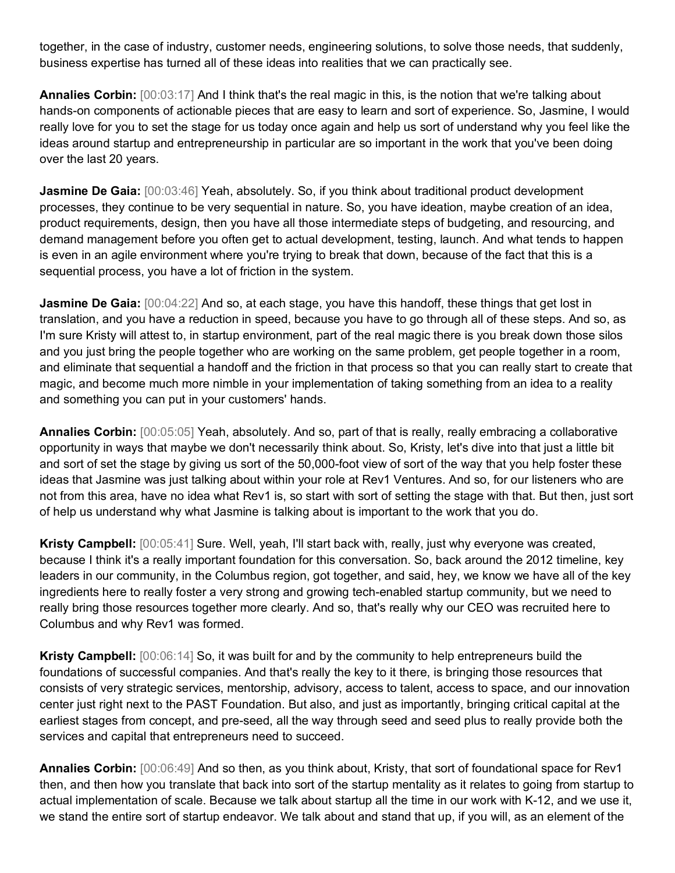together, in the case of industry, customer needs, engineering solutions, to solve those needs, that suddenly, business expertise has turned all of these ideas into realities that we can practically see.

**Annalies Corbin:** [00:03:17] And I think that's the real magic in this, is the notion that we're talking about hands-on components of actionable pieces that are easy to learn and sort of experience. So, Jasmine, I would really love for you to set the stage for us today once again and help us sort of understand why you feel like the ideas around startup and entrepreneurship in particular are so important in the work that you've been doing over the last 20 years.

**Jasmine De Gaia:** [00:03:46] Yeah, absolutely. So, if you think about traditional product development processes, they continue to be very sequential in nature. So, you have ideation, maybe creation of an idea, product requirements, design, then you have all those intermediate steps of budgeting, and resourcing, and demand management before you often get to actual development, testing, launch. And what tends to happen is even in an agile environment where you're trying to break that down, because of the fact that this is a sequential process, you have a lot of friction in the system.

**Jasmine De Gaia:** [00:04:22] And so, at each stage, you have this handoff, these things that get lost in translation, and you have a reduction in speed, because you have to go through all of these steps. And so, as I'm sure Kristy will attest to, in startup environment, part of the real magic there is you break down those silos and you just bring the people together who are working on the same problem, get people together in a room, and eliminate that sequential a handoff and the friction in that process so that you can really start to create that magic, and become much more nimble in your implementation of taking something from an idea to a reality and something you can put in your customers' hands.

**Annalies Corbin:** [00:05:05] Yeah, absolutely. And so, part of that is really, really embracing a collaborative opportunity in ways that maybe we don't necessarily think about. So, Kristy, let's dive into that just a little bit and sort of set the stage by giving us sort of the 50,000-foot view of sort of the way that you help foster these ideas that Jasmine was just talking about within your role at Rev1 Ventures. And so, for our listeners who are not from this area, have no idea what Rev1 is, so start with sort of setting the stage with that. But then, just sort of help us understand why what Jasmine is talking about is important to the work that you do.

**Kristy Campbell:** [00:05:41] Sure. Well, yeah, I'll start back with, really, just why everyone was created, because I think it's a really important foundation for this conversation. So, back around the 2012 timeline, key leaders in our community, in the Columbus region, got together, and said, hey, we know we have all of the key ingredients here to really foster a very strong and growing tech-enabled startup community, but we need to really bring those resources together more clearly. And so, that's really why our CEO was recruited here to Columbus and why Rev1 was formed.

**Kristy Campbell:** [00:06:14] So, it was built for and by the community to help entrepreneurs build the foundations of successful companies. And that's really the key to it there, is bringing those resources that consists of very strategic services, mentorship, advisory, access to talent, access to space, and our innovation center just right next to the PAST Foundation. But also, and just as importantly, bringing critical capital at the earliest stages from concept, and pre-seed, all the way through seed and seed plus to really provide both the services and capital that entrepreneurs need to succeed.

**Annalies Corbin:** [00:06:49] And so then, as you think about, Kristy, that sort of foundational space for Rev1 then, and then how you translate that back into sort of the startup mentality as it relates to going from startup to actual implementation of scale. Because we talk about startup all the time in our work with K-12, and we use it, we stand the entire sort of startup endeavor. We talk about and stand that up, if you will, as an element of the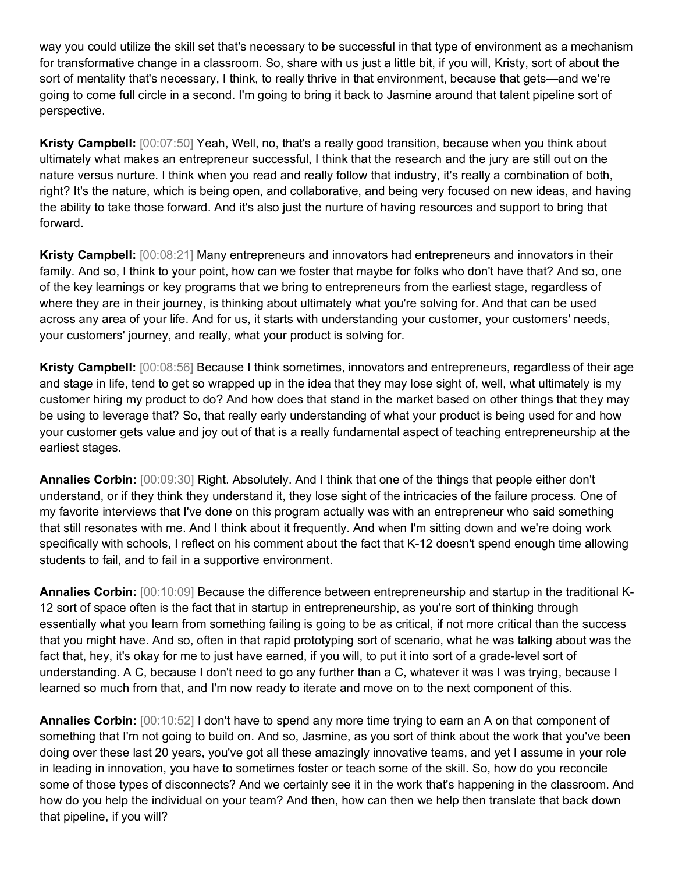way you could utilize the skill set that's necessary to be successful in that type of environment as a mechanism for transformative change in a classroom. So, share with us just a little bit, if you will, Kristy, sort of about the sort of mentality that's necessary, I think, to really thrive in that environment, because that gets—and we're going to come full circle in a second. I'm going to bring it back to Jasmine around that talent pipeline sort of perspective.

**Kristy Campbell:** [00:07:50] Yeah, Well, no, that's a really good transition, because when you think about ultimately what makes an entrepreneur successful, I think that the research and the jury are still out on the nature versus nurture. I think when you read and really follow that industry, it's really a combination of both, right? It's the nature, which is being open, and collaborative, and being very focused on new ideas, and having the ability to take those forward. And it's also just the nurture of having resources and support to bring that forward.

**Kristy Campbell:** [00:08:21] Many entrepreneurs and innovators had entrepreneurs and innovators in their family. And so, I think to your point, how can we foster that maybe for folks who don't have that? And so, one of the key learnings or key programs that we bring to entrepreneurs from the earliest stage, regardless of where they are in their journey, is thinking about ultimately what you're solving for. And that can be used across any area of your life. And for us, it starts with understanding your customer, your customers' needs, your customers' journey, and really, what your product is solving for.

**Kristy Campbell:** [00:08:56] Because I think sometimes, innovators and entrepreneurs, regardless of their age and stage in life, tend to get so wrapped up in the idea that they may lose sight of, well, what ultimately is my customer hiring my product to do? And how does that stand in the market based on other things that they may be using to leverage that? So, that really early understanding of what your product is being used for and how your customer gets value and joy out of that is a really fundamental aspect of teaching entrepreneurship at the earliest stages.

**Annalies Corbin:** [00:09:30] Right. Absolutely. And I think that one of the things that people either don't understand, or if they think they understand it, they lose sight of the intricacies of the failure process. One of my favorite interviews that I've done on this program actually was with an entrepreneur who said something that still resonates with me. And I think about it frequently. And when I'm sitting down and we're doing work specifically with schools, I reflect on his comment about the fact that K-12 doesn't spend enough time allowing students to fail, and to fail in a supportive environment.

**Annalies Corbin:** [00:10:09] Because the difference between entrepreneurship and startup in the traditional K-12 sort of space often is the fact that in startup in entrepreneurship, as you're sort of thinking through essentially what you learn from something failing is going to be as critical, if not more critical than the success that you might have. And so, often in that rapid prototyping sort of scenario, what he was talking about was the fact that, hey, it's okay for me to just have earned, if you will, to put it into sort of a grade-level sort of understanding. A C, because I don't need to go any further than a C, whatever it was I was trying, because I learned so much from that, and I'm now ready to iterate and move on to the next component of this.

**Annalies Corbin:** [00:10:52] I don't have to spend any more time trying to earn an A on that component of something that I'm not going to build on. And so, Jasmine, as you sort of think about the work that you've been doing over these last 20 years, you've got all these amazingly innovative teams, and yet I assume in your role in leading in innovation, you have to sometimes foster or teach some of the skill. So, how do you reconcile some of those types of disconnects? And we certainly see it in the work that's happening in the classroom. And how do you help the individual on your team? And then, how can then we help then translate that back down that pipeline, if you will?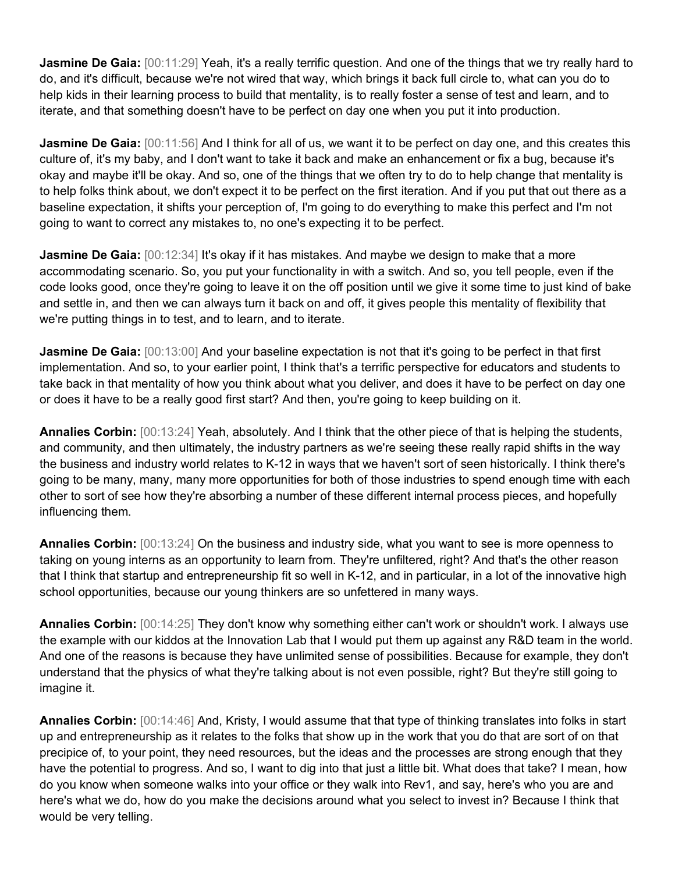**Jasmine De Gaia:** [00:11:29] Yeah, it's a really terrific question. And one of the things that we try really hard to do, and it's difficult, because we're not wired that way, which brings it back full circle to, what can you do to help kids in their learning process to build that mentality, is to really foster a sense of test and learn, and to iterate, and that something doesn't have to be perfect on day one when you put it into production.

**Jasmine De Gaia:** [00:11:56] And I think for all of us, we want it to be perfect on day one, and this creates this culture of, it's my baby, and I don't want to take it back and make an enhancement or fix a bug, because it's okay and maybe it'll be okay. And so, one of the things that we often try to do to help change that mentality is to help folks think about, we don't expect it to be perfect on the first iteration. And if you put that out there as a baseline expectation, it shifts your perception of, I'm going to do everything to make this perfect and I'm not going to want to correct any mistakes to, no one's expecting it to be perfect.

**Jasmine De Gaia:** [00:12:34] It's okay if it has mistakes. And maybe we design to make that a more accommodating scenario. So, you put your functionality in with a switch. And so, you tell people, even if the code looks good, once they're going to leave it on the off position until we give it some time to just kind of bake and settle in, and then we can always turn it back on and off, it gives people this mentality of flexibility that we're putting things in to test, and to learn, and to iterate.

**Jasmine De Gaia:** [00:13:00] And your baseline expectation is not that it's going to be perfect in that first implementation. And so, to your earlier point, I think that's a terrific perspective for educators and students to take back in that mentality of how you think about what you deliver, and does it have to be perfect on day one or does it have to be a really good first start? And then, you're going to keep building on it.

**Annalies Corbin:** [00:13:24] Yeah, absolutely. And I think that the other piece of that is helping the students, and community, and then ultimately, the industry partners as we're seeing these really rapid shifts in the way the business and industry world relates to K-12 in ways that we haven't sort of seen historically. I think there's going to be many, many, many more opportunities for both of those industries to spend enough time with each other to sort of see how they're absorbing a number of these different internal process pieces, and hopefully influencing them.

**Annalies Corbin:** [00:13:24] On the business and industry side, what you want to see is more openness to taking on young interns as an opportunity to learn from. They're unfiltered, right? And that's the other reason that I think that startup and entrepreneurship fit so well in K-12, and in particular, in a lot of the innovative high school opportunities, because our young thinkers are so unfettered in many ways.

**Annalies Corbin:** [00:14:25] They don't know why something either can't work or shouldn't work. I always use the example with our kiddos at the Innovation Lab that I would put them up against any R&D team in the world. And one of the reasons is because they have unlimited sense of possibilities. Because for example, they don't understand that the physics of what they're talking about is not even possible, right? But they're still going to imagine it.

**Annalies Corbin:** [00:14:46] And, Kristy, I would assume that that type of thinking translates into folks in start up and entrepreneurship as it relates to the folks that show up in the work that you do that are sort of on that precipice of, to your point, they need resources, but the ideas and the processes are strong enough that they have the potential to progress. And so, I want to dig into that just a little bit. What does that take? I mean, how do you know when someone walks into your office or they walk into Rev1, and say, here's who you are and here's what we do, how do you make the decisions around what you select to invest in? Because I think that would be very telling.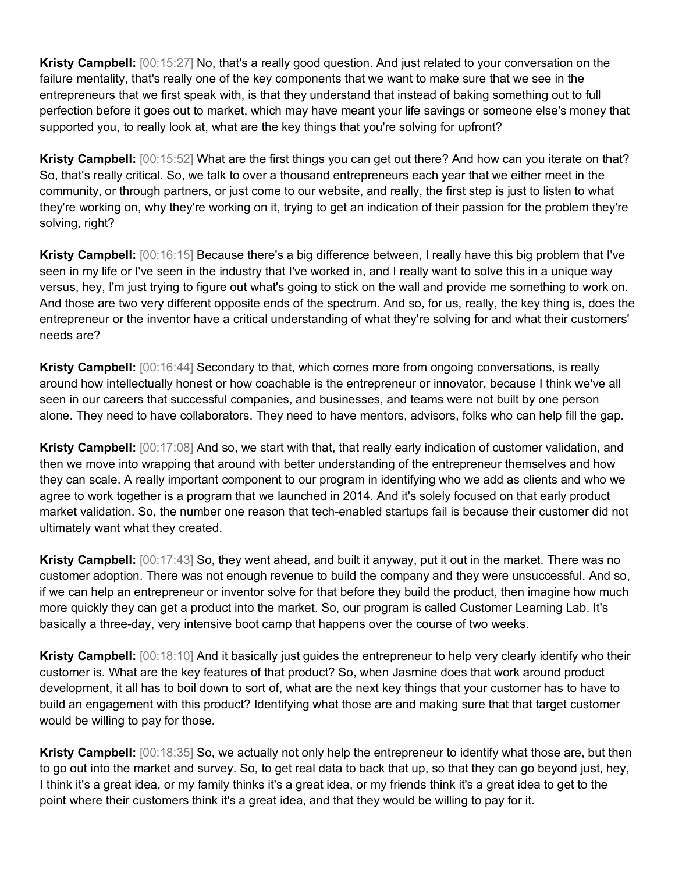**Kristy Campbell:** [00:15:27] No, that's a really good question. And just related to your conversation on the failure mentality, that's really one of the key components that we want to make sure that we see in the entrepreneurs that we first speak with, is that they understand that instead of baking something out to full perfection before it goes out to market, which may have meant your life savings or someone else's money that supported you, to really look at, what are the key things that you're solving for upfront?

**Kristy Campbell:** [00:15:52] What are the first things you can get out there? And how can you iterate on that? So, that's really critical. So, we talk to over a thousand entrepreneurs each year that we either meet in the community, or through partners, or just come to our website, and really, the first step is just to listen to what they're working on, why they're working on it, trying to get an indication of their passion for the problem they're solving, right?

**Kristy Campbell:** [00:16:15] Because there's a big difference between, I really have this big problem that I've seen in my life or I've seen in the industry that I've worked in, and I really want to solve this in a unique way versus, hey, I'm just trying to figure out what's going to stick on the wall and provide me something to work on. And those are two very different opposite ends of the spectrum. And so, for us, really, the key thing is, does the entrepreneur or the inventor have a critical understanding of what they're solving for and what their customers' needs are?

**Kristy Campbell:** [00:16:44] Secondary to that, which comes more from ongoing conversations, is really around how intellectually honest or how coachable is the entrepreneur or innovator, because I think we've all seen in our careers that successful companies, and businesses, and teams were not built by one person alone. They need to have collaborators. They need to have mentors, advisors, folks who can help fill the gap.

**Kristy Campbell:** [00:17:08] And so, we start with that, that really early indication of customer validation, and then we move into wrapping that around with better understanding of the entrepreneur themselves and how they can scale. A really important component to our program in identifying who we add as clients and who we agree to work together is a program that we launched in 2014. And it's solely focused on that early product market validation. So, the number one reason that tech-enabled startups fail is because their customer did not ultimately want what they created.

**Kristy Campbell:** [00:17:43] So, they went ahead, and built it anyway, put it out in the market. There was no customer adoption. There was not enough revenue to build the company and they were unsuccessful. And so, if we can help an entrepreneur or inventor solve for that before they build the product, then imagine how much more quickly they can get a product into the market. So, our program is called Customer Learning Lab. It's basically a three-day, very intensive boot camp that happens over the course of two weeks.

**Kristy Campbell:** [00:18:10] And it basically just guides the entrepreneur to help very clearly identify who their customer is. What are the key features of that product? So, when Jasmine does that work around product development, it all has to boil down to sort of, what are the next key things that your customer has to have to build an engagement with this product? Identifying what those are and making sure that that target customer would be willing to pay for those.

**Kristy Campbell:** [00:18:35] So, we actually not only help the entrepreneur to identify what those are, but then to go out into the market and survey. So, to get real data to back that up, so that they can go beyond just, hey, I think it's a great idea, or my family thinks it's a great idea, or my friends think it's a great idea to get to the point where their customers think it's a great idea, and that they would be willing to pay for it.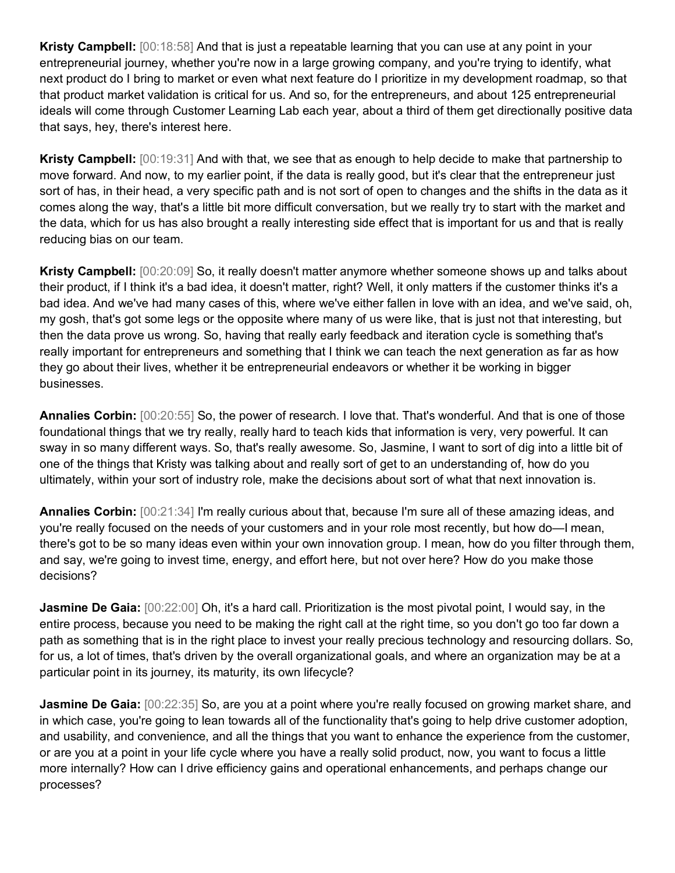**Kristy Campbell:** [00:18:58] And that is just a repeatable learning that you can use at any point in your entrepreneurial journey, whether you're now in a large growing company, and you're trying to identify, what next product do I bring to market or even what next feature do I prioritize in my development roadmap, so that that product market validation is critical for us. And so, for the entrepreneurs, and about 125 entrepreneurial ideals will come through Customer Learning Lab each year, about a third of them get directionally positive data that says, hey, there's interest here.

**Kristy Campbell:** [00:19:31] And with that, we see that as enough to help decide to make that partnership to move forward. And now, to my earlier point, if the data is really good, but it's clear that the entrepreneur just sort of has, in their head, a very specific path and is not sort of open to changes and the shifts in the data as it comes along the way, that's a little bit more difficult conversation, but we really try to start with the market and the data, which for us has also brought a really interesting side effect that is important for us and that is really reducing bias on our team.

**Kristy Campbell:** [00:20:09] So, it really doesn't matter anymore whether someone shows up and talks about their product, if I think it's a bad idea, it doesn't matter, right? Well, it only matters if the customer thinks it's a bad idea. And we've had many cases of this, where we've either fallen in love with an idea, and we've said, oh, my gosh, that's got some legs or the opposite where many of us were like, that is just not that interesting, but then the data prove us wrong. So, having that really early feedback and iteration cycle is something that's really important for entrepreneurs and something that I think we can teach the next generation as far as how they go about their lives, whether it be entrepreneurial endeavors or whether it be working in bigger businesses.

**Annalies Corbin:** [00:20:55] So, the power of research. I love that. That's wonderful. And that is one of those foundational things that we try really, really hard to teach kids that information is very, very powerful. It can sway in so many different ways. So, that's really awesome. So, Jasmine, I want to sort of dig into a little bit of one of the things that Kristy was talking about and really sort of get to an understanding of, how do you ultimately, within your sort of industry role, make the decisions about sort of what that next innovation is.

**Annalies Corbin:** [00:21:34] I'm really curious about that, because I'm sure all of these amazing ideas, and you're really focused on the needs of your customers and in your role most recently, but how do—I mean, there's got to be so many ideas even within your own innovation group. I mean, how do you filter through them, and say, we're going to invest time, energy, and effort here, but not over here? How do you make those decisions?

**Jasmine De Gaia:**  $[00:22:00]$  Oh, it's a hard call. Prioritization is the most pivotal point, I would say, in the entire process, because you need to be making the right call at the right time, so you don't go too far down a path as something that is in the right place to invest your really precious technology and resourcing dollars. So, for us, a lot of times, that's driven by the overall organizational goals, and where an organization may be at a particular point in its journey, its maturity, its own lifecycle?

**Jasmine De Gaia:** [00:22:35] So, are you at a point where you're really focused on growing market share, and in which case, you're going to lean towards all of the functionality that's going to help drive customer adoption, and usability, and convenience, and all the things that you want to enhance the experience from the customer, or are you at a point in your life cycle where you have a really solid product, now, you want to focus a little more internally? How can I drive efficiency gains and operational enhancements, and perhaps change our processes?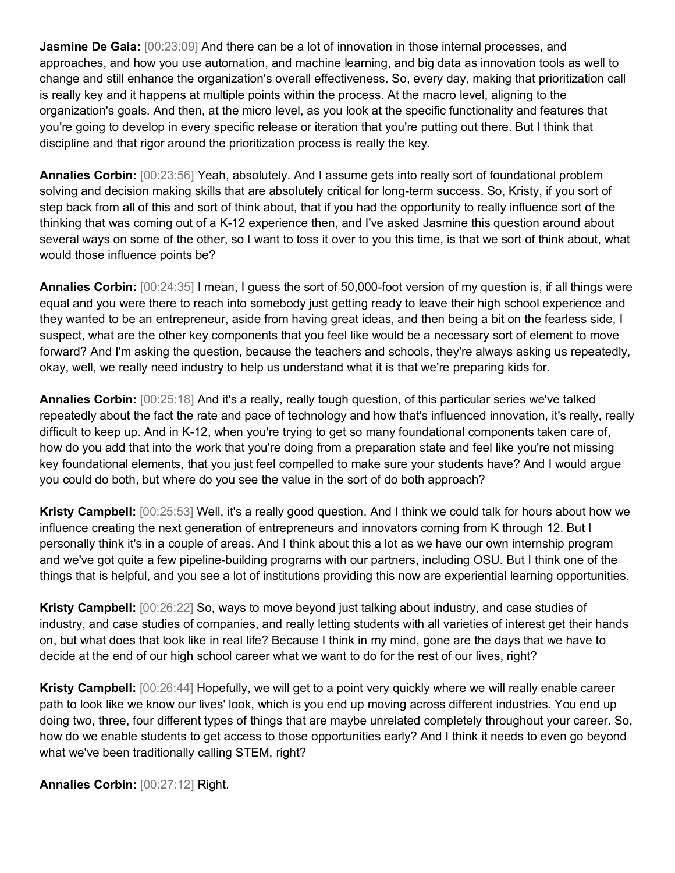**Jasmine De Gaia:** [00:23:09] And there can be a lot of innovation in those internal processes, and approaches, and how you use automation, and machine learning, and big data as innovation tools as well to change and still enhance the organization's overall effectiveness. So, every day, making that prioritization call is really key and it happens at multiple points within the process. At the macro level, aligning to the organization's goals. And then, at the micro level, as you look at the specific functionality and features that you're going to develop in every specific release or iteration that you're putting out there. But I think that discipline and that rigor around the prioritization process is really the key.

**Annalies Corbin:** [00:23:56] Yeah, absolutely. And I assume gets into really sort of foundational problem solving and decision making skills that are absolutely critical for long-term success. So, Kristy, if you sort of step back from all of this and sort of think about, that if you had the opportunity to really influence sort of the thinking that was coming out of a K-12 experience then, and I've asked Jasmine this question around about several ways on some of the other, so I want to toss it over to you this time, is that we sort of think about, what would those influence points be?

**Annalies Corbin:** [00:24:35] I mean, I guess the sort of 50,000-foot version of my question is, if all things were equal and you were there to reach into somebody just getting ready to leave their high school experience and they wanted to be an entrepreneur, aside from having great ideas, and then being a bit on the fearless side, I suspect, what are the other key components that you feel like would be a necessary sort of element to move forward? And I'm asking the question, because the teachers and schools, they're always asking us repeatedly, okay, well, we really need industry to help us understand what it is that we're preparing kids for.

**Annalies Corbin:** [00:25:18] And it's a really, really tough question, of this particular series we've talked repeatedly about the fact the rate and pace of technology and how that's influenced innovation, it's really, really difficult to keep up. And in K-12, when you're trying to get so many foundational components taken care of, how do you add that into the work that you're doing from a preparation state and feel like you're not missing key foundational elements, that you just feel compelled to make sure your students have? And I would argue you could do both, but where do you see the value in the sort of do both approach?

**Kristy Campbell:** [00:25:53] Well, it's a really good question. And I think we could talk for hours about how we influence creating the next generation of entrepreneurs and innovators coming from K through 12. But I personally think it's in a couple of areas. And I think about this a lot as we have our own internship program and we've got quite a few pipeline-building programs with our partners, including OSU. But I think one of the things that is helpful, and you see a lot of institutions providing this now are experiential learning opportunities.

**Kristy Campbell:** [00:26:22] So, ways to move beyond just talking about industry, and case studies of industry, and case studies of companies, and really letting students with all varieties of interest get their hands on, but what does that look like in real life? Because I think in my mind, gone are the days that we have to decide at the end of our high school career what we want to do for the rest of our lives, right?

**Kristy Campbell:** [00:26:44] Hopefully, we will get to a point very quickly where we will really enable career path to look like we know our lives' look, which is you end up moving across different industries. You end up doing two, three, four different types of things that are maybe unrelated completely throughout your career. So, how do we enable students to get access to those opportunities early? And I think it needs to even go beyond what we've been traditionally calling STEM, right?

**Annalies Corbin:** [00:27:12] Right.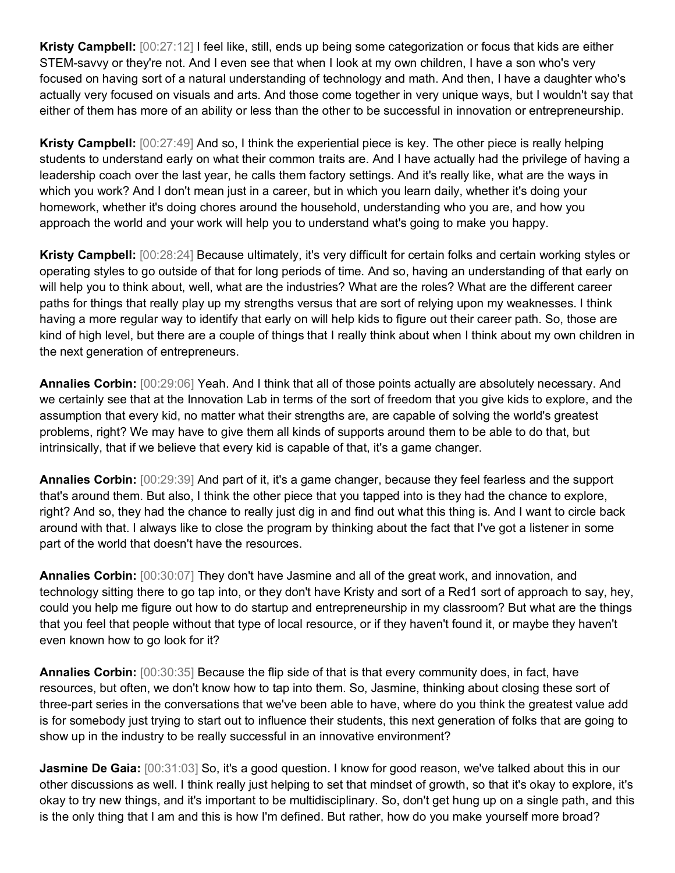**Kristy Campbell:** [00:27:12] I feel like, still, ends up being some categorization or focus that kids are either STEM-savvy or they're not. And I even see that when I look at my own children, I have a son who's very focused on having sort of a natural understanding of technology and math. And then, I have a daughter who's actually very focused on visuals and arts. And those come together in very unique ways, but I wouldn't say that either of them has more of an ability or less than the other to be successful in innovation or entrepreneurship.

**Kristy Campbell:** [00:27:49] And so, I think the experiential piece is key. The other piece is really helping students to understand early on what their common traits are. And I have actually had the privilege of having a leadership coach over the last year, he calls them factory settings. And it's really like, what are the ways in which you work? And I don't mean just in a career, but in which you learn daily, whether it's doing your homework, whether it's doing chores around the household, understanding who you are, and how you approach the world and your work will help you to understand what's going to make you happy.

**Kristy Campbell:** [00:28:24] Because ultimately, it's very difficult for certain folks and certain working styles or operating styles to go outside of that for long periods of time. And so, having an understanding of that early on will help you to think about, well, what are the industries? What are the roles? What are the different career paths for things that really play up my strengths versus that are sort of relying upon my weaknesses. I think having a more regular way to identify that early on will help kids to figure out their career path. So, those are kind of high level, but there are a couple of things that I really think about when I think about my own children in the next generation of entrepreneurs.

**Annalies Corbin:** [00:29:06] Yeah. And I think that all of those points actually are absolutely necessary. And we certainly see that at the Innovation Lab in terms of the sort of freedom that you give kids to explore, and the assumption that every kid, no matter what their strengths are, are capable of solving the world's greatest problems, right? We may have to give them all kinds of supports around them to be able to do that, but intrinsically, that if we believe that every kid is capable of that, it's a game changer.

**Annalies Corbin:** [00:29:39] And part of it, it's a game changer, because they feel fearless and the support that's around them. But also, I think the other piece that you tapped into is they had the chance to explore, right? And so, they had the chance to really just dig in and find out what this thing is. And I want to circle back around with that. I always like to close the program by thinking about the fact that I've got a listener in some part of the world that doesn't have the resources.

**Annalies Corbin:** [00:30:07] They don't have Jasmine and all of the great work, and innovation, and technology sitting there to go tap into, or they don't have Kristy and sort of a Red1 sort of approach to say, hey, could you help me figure out how to do startup and entrepreneurship in my classroom? But what are the things that you feel that people without that type of local resource, or if they haven't found it, or maybe they haven't even known how to go look for it?

**Annalies Corbin:** [00:30:35] Because the flip side of that is that every community does, in fact, have resources, but often, we don't know how to tap into them. So, Jasmine, thinking about closing these sort of three-part series in the conversations that we've been able to have, where do you think the greatest value add is for somebody just trying to start out to influence their students, this next generation of folks that are going to show up in the industry to be really successful in an innovative environment?

**Jasmine De Gaia:**  $[00:31:03]$  So, it's a good question. I know for good reason, we've talked about this in our other discussions as well. I think really just helping to set that mindset of growth, so that it's okay to explore, it's okay to try new things, and it's important to be multidisciplinary. So, don't get hung up on a single path, and this is the only thing that I am and this is how I'm defined. But rather, how do you make yourself more broad?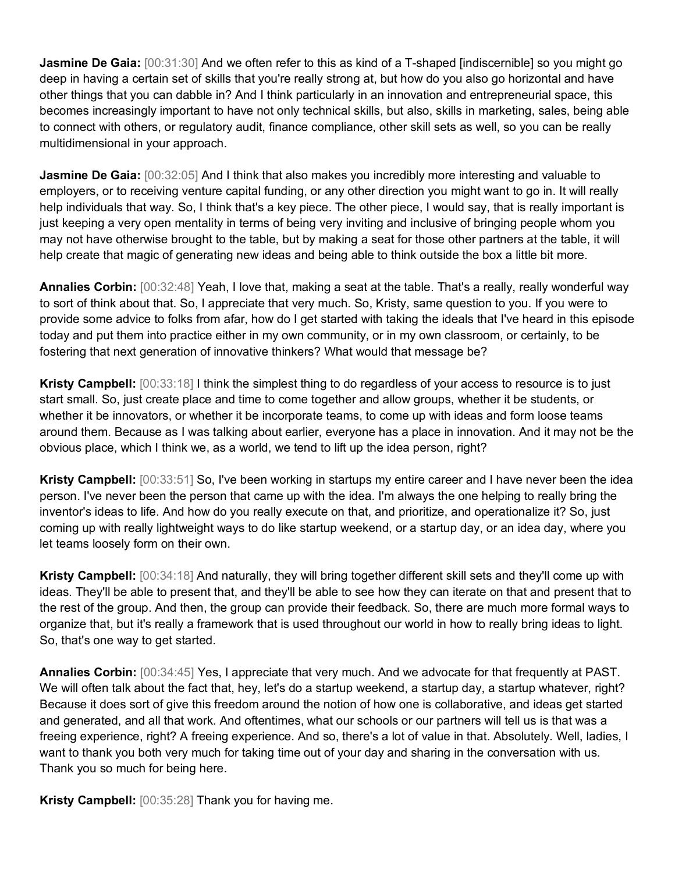**Jasmine De Gaia:** [00:31:30] And we often refer to this as kind of a T-shaped [indiscernible] so you might go deep in having a certain set of skills that you're really strong at, but how do you also go horizontal and have other things that you can dabble in? And I think particularly in an innovation and entrepreneurial space, this becomes increasingly important to have not only technical skills, but also, skills in marketing, sales, being able to connect with others, or regulatory audit, finance compliance, other skill sets as well, so you can be really multidimensional in your approach.

**Jasmine De Gaia:**  $[00:32:05]$  And I think that also makes you incredibly more interesting and valuable to employers, or to receiving venture capital funding, or any other direction you might want to go in. It will really help individuals that way. So, I think that's a key piece. The other piece, I would say, that is really important is just keeping a very open mentality in terms of being very inviting and inclusive of bringing people whom you may not have otherwise brought to the table, but by making a seat for those other partners at the table, it will help create that magic of generating new ideas and being able to think outside the box a little bit more.

**Annalies Corbin:** [00:32:48] Yeah, I love that, making a seat at the table. That's a really, really wonderful way to sort of think about that. So, I appreciate that very much. So, Kristy, same question to you. If you were to provide some advice to folks from afar, how do I get started with taking the ideals that I've heard in this episode today and put them into practice either in my own community, or in my own classroom, or certainly, to be fostering that next generation of innovative thinkers? What would that message be?

**Kristy Campbell:** [00:33:18] I think the simplest thing to do regardless of your access to resource is to just start small. So, just create place and time to come together and allow groups, whether it be students, or whether it be innovators, or whether it be incorporate teams, to come up with ideas and form loose teams around them. Because as I was talking about earlier, everyone has a place in innovation. And it may not be the obvious place, which I think we, as a world, we tend to lift up the idea person, right?

**Kristy Campbell:** [00:33:51] So, I've been working in startups my entire career and I have never been the idea person. I've never been the person that came up with the idea. I'm always the one helping to really bring the inventor's ideas to life. And how do you really execute on that, and prioritize, and operationalize it? So, just coming up with really lightweight ways to do like startup weekend, or a startup day, or an idea day, where you let teams loosely form on their own.

**Kristy Campbell:** [00:34:18] And naturally, they will bring together different skill sets and they'll come up with ideas. They'll be able to present that, and they'll be able to see how they can iterate on that and present that to the rest of the group. And then, the group can provide their feedback. So, there are much more formal ways to organize that, but it's really a framework that is used throughout our world in how to really bring ideas to light. So, that's one way to get started.

**Annalies Corbin:** [00:34:45] Yes, I appreciate that very much. And we advocate for that frequently at PAST. We will often talk about the fact that, hey, let's do a startup weekend, a startup day, a startup whatever, right? Because it does sort of give this freedom around the notion of how one is collaborative, and ideas get started and generated, and all that work. And oftentimes, what our schools or our partners will tell us is that was a freeing experience, right? A freeing experience. And so, there's a lot of value in that. Absolutely. Well, ladies, I want to thank you both very much for taking time out of your day and sharing in the conversation with us. Thank you so much for being here.

**Kristy Campbell:** [00:35:28] Thank you for having me.